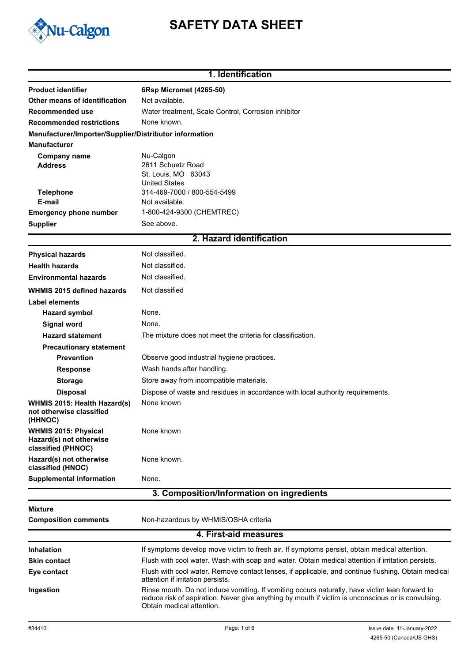

# **SAFETY DATA SHEET**

### **1. Identification**

| <b>Product identifier</b>                                                    | 6Rsp Micromet (4265-50)                                                                                                                                                                                                           |
|------------------------------------------------------------------------------|-----------------------------------------------------------------------------------------------------------------------------------------------------------------------------------------------------------------------------------|
| Other means of identification                                                | Not available.                                                                                                                                                                                                                    |
| Recommended use                                                              | Water treatment, Scale Control, Corrosion inhibitor                                                                                                                                                                               |
| <b>Recommended restrictions</b>                                              | None known.                                                                                                                                                                                                                       |
| Manufacturer/Importer/Supplier/Distributor information                       |                                                                                                                                                                                                                                   |
| <b>Manufacturer</b>                                                          |                                                                                                                                                                                                                                   |
| <b>Company name</b><br><b>Address</b>                                        | Nu-Calgon<br>2611 Schuetz Road<br>St. Louis, MO 63043                                                                                                                                                                             |
| <b>Telephone</b><br>E-mail                                                   | <b>United States</b><br>314-469-7000 / 800-554-5499<br>Not available.                                                                                                                                                             |
| <b>Emergency phone number</b>                                                | 1-800-424-9300 (CHEMTREC)                                                                                                                                                                                                         |
| <b>Supplier</b>                                                              | See above.                                                                                                                                                                                                                        |
|                                                                              | 2. Hazard identification                                                                                                                                                                                                          |
| <b>Physical hazards</b>                                                      | Not classified.                                                                                                                                                                                                                   |
| <b>Health hazards</b>                                                        | Not classified.                                                                                                                                                                                                                   |
| <b>Environmental hazards</b>                                                 | Not classified.                                                                                                                                                                                                                   |
|                                                                              |                                                                                                                                                                                                                                   |
| <b>WHMIS 2015 defined hazards</b>                                            | Not classified                                                                                                                                                                                                                    |
| <b>Label elements</b>                                                        |                                                                                                                                                                                                                                   |
| <b>Hazard symbol</b>                                                         | None.                                                                                                                                                                                                                             |
| Signal word                                                                  | None.                                                                                                                                                                                                                             |
| <b>Hazard statement</b>                                                      | The mixture does not meet the criteria for classification.                                                                                                                                                                        |
| <b>Precautionary statement</b>                                               |                                                                                                                                                                                                                                   |
| <b>Prevention</b>                                                            | Observe good industrial hygiene practices.                                                                                                                                                                                        |
| <b>Response</b>                                                              | Wash hands after handling.                                                                                                                                                                                                        |
| <b>Storage</b>                                                               | Store away from incompatible materials.                                                                                                                                                                                           |
| <b>Disposal</b>                                                              | Dispose of waste and residues in accordance with local authority requirements.                                                                                                                                                    |
| WHMIS 2015: Health Hazard(s)<br>not otherwise classified<br>(HHNOC)          | None known                                                                                                                                                                                                                        |
| <b>WHMIS 2015: Physical</b><br>Hazard(s) not otherwise<br>classified (PHNOC) | None known                                                                                                                                                                                                                        |
| Hazard(s) not otherwise<br>classified (HNOC)                                 | None known.                                                                                                                                                                                                                       |
| <b>Supplemental information</b>                                              | None.                                                                                                                                                                                                                             |
|                                                                              | 3. Composition/Information on ingredients                                                                                                                                                                                         |
| Mixture                                                                      |                                                                                                                                                                                                                                   |
| <b>Composition comments</b>                                                  | Non-hazardous by WHMIS/OSHA criteria                                                                                                                                                                                              |
|                                                                              | 4. First-aid measures                                                                                                                                                                                                             |
| <b>Inhalation</b>                                                            | If symptoms develop move victim to fresh air. If symptoms persist, obtain medical attention.                                                                                                                                      |
| <b>Skin contact</b>                                                          | Flush with cool water. Wash with soap and water. Obtain medical attention if irritation persists.                                                                                                                                 |
| Eye contact                                                                  | Flush with cool water. Remove contact lenses, if applicable, and continue flushing. Obtain medical<br>attention if irritation persists.                                                                                           |
| Ingestion                                                                    | Rinse mouth. Do not induce vomiting. If vomiting occurs naturally, have victim lean forward to<br>reduce risk of aspiration. Never give anything by mouth if victim is unconscious or is convulsing.<br>Obtain medical attention. |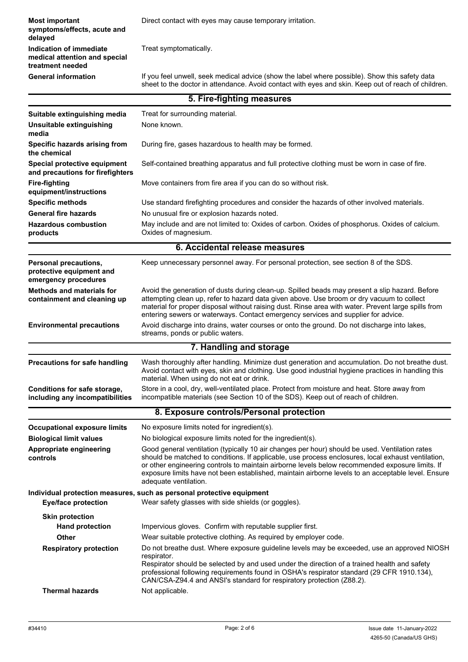**Most important Direct contact with eyes may cause temporary irritation. symptoms/effects, acute and delayed Indication of immediate** Treat symptomatically. **medical attention and special treatment needed** If you feel unwell, seek medical advice (show the label where possible). Show this safety data sheet to the doctor in attendance. Avoid contact with eyes and skin. Keep out of reach of children. **General information**

| 5. Fire-fighting measures                                                        |                                                                                                                                                                                                                                                                                                                                                                                                                                        |
|----------------------------------------------------------------------------------|----------------------------------------------------------------------------------------------------------------------------------------------------------------------------------------------------------------------------------------------------------------------------------------------------------------------------------------------------------------------------------------------------------------------------------------|
| Suitable extinguishing media                                                     | Treat for surrounding material.                                                                                                                                                                                                                                                                                                                                                                                                        |
| Unsuitable extinguishing<br>media                                                | None known.                                                                                                                                                                                                                                                                                                                                                                                                                            |
| Specific hazards arising from<br>the chemical                                    | During fire, gases hazardous to health may be formed.                                                                                                                                                                                                                                                                                                                                                                                  |
| Special protective equipment<br>and precautions for firefighters                 | Self-contained breathing apparatus and full protective clothing must be worn in case of fire.                                                                                                                                                                                                                                                                                                                                          |
| <b>Fire-fighting</b><br>equipment/instructions                                   | Move containers from fire area if you can do so without risk.                                                                                                                                                                                                                                                                                                                                                                          |
| <b>Specific methods</b>                                                          | Use standard firefighting procedures and consider the hazards of other involved materials.                                                                                                                                                                                                                                                                                                                                             |
| <b>General fire hazards</b>                                                      | No unusual fire or explosion hazards noted.                                                                                                                                                                                                                                                                                                                                                                                            |
| <b>Hazardous combustion</b><br>products                                          | May include and are not limited to: Oxides of carbon. Oxides of phosphorus. Oxides of calcium.<br>Oxides of magnesium.                                                                                                                                                                                                                                                                                                                 |
|                                                                                  | 6. Accidental release measures                                                                                                                                                                                                                                                                                                                                                                                                         |
| <b>Personal precautions,</b><br>protective equipment and<br>emergency procedures | Keep unnecessary personnel away. For personal protection, see section 8 of the SDS.                                                                                                                                                                                                                                                                                                                                                    |
| <b>Methods and materials for</b><br>containment and cleaning up                  | Avoid the generation of dusts during clean-up. Spilled beads may present a slip hazard. Before<br>attempting clean up, refer to hazard data given above. Use broom or dry vacuum to collect<br>material for proper disposal without raising dust. Rinse area with water. Prevent large spills from<br>entering sewers or waterways. Contact emergency services and supplier for advice.                                                |
| <b>Environmental precautions</b>                                                 | Avoid discharge into drains, water courses or onto the ground. Do not discharge into lakes,<br>streams, ponds or public waters.                                                                                                                                                                                                                                                                                                        |
|                                                                                  | 7. Handling and storage                                                                                                                                                                                                                                                                                                                                                                                                                |
| <b>Precautions for safe handling</b>                                             | Wash thoroughly after handling. Minimize dust generation and accumulation. Do not breathe dust.<br>Avoid contact with eyes, skin and clothing. Use good industrial hygiene practices in handling this<br>material. When using do not eat or drink.                                                                                                                                                                                     |
| Conditions for safe storage,<br>including any incompatibilities                  | Store in a cool, dry, well-ventilated place. Protect from moisture and heat. Store away from<br>incompatible materials (see Section 10 of the SDS). Keep out of reach of children.                                                                                                                                                                                                                                                     |
|                                                                                  | 8. Exposure controls/Personal protection                                                                                                                                                                                                                                                                                                                                                                                               |
| <b>Occupational exposure limits</b>                                              | No exposure limits noted for ingredient(s).                                                                                                                                                                                                                                                                                                                                                                                            |
| <b>Biological limit values</b>                                                   | No biological exposure limits noted for the ingredient(s).                                                                                                                                                                                                                                                                                                                                                                             |
| Appropriate engineering<br>controls                                              | Good general ventilation (typically 10 air changes per hour) should be used. Ventilation rates<br>should be matched to conditions. If applicable, use process enclosures, local exhaust ventilation,<br>or other engineering controls to maintain airborne levels below recommended exposure limits. If<br>exposure limits have not been established, maintain airborne levels to an acceptable level. Ensure<br>adequate ventilation. |
| <b>Eye/face protection</b>                                                       | Individual protection measures, such as personal protective equipment<br>Wear safety glasses with side shields (or goggles).                                                                                                                                                                                                                                                                                                           |
| <b>Skin protection</b>                                                           |                                                                                                                                                                                                                                                                                                                                                                                                                                        |
| <b>Hand protection</b>                                                           | Impervious gloves. Confirm with reputable supplier first.                                                                                                                                                                                                                                                                                                                                                                              |
| <b>Other</b>                                                                     | Wear suitable protective clothing. As required by employer code.                                                                                                                                                                                                                                                                                                                                                                       |
| <b>Respiratory protection</b>                                                    | Do not breathe dust. Where exposure guideline levels may be exceeded, use an approved NIOSH<br>respirator.<br>Respirator should be selected by and used under the direction of a trained health and safety<br>professional following requirements found in OSHA's respirator standard (29 CFR 1910.134),<br>CAN/CSA-Z94.4 and ANSI's standard for respiratory protection (Z88.2).                                                      |
| <b>Thermal hazards</b>                                                           | Not applicable.                                                                                                                                                                                                                                                                                                                                                                                                                        |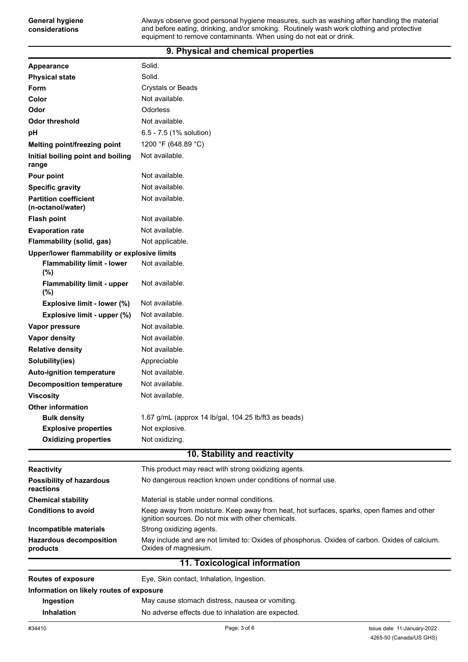#### **9. Physical and chemical properties**

| Appearance                                        | Solid.                                                                                                                                          |
|---------------------------------------------------|-------------------------------------------------------------------------------------------------------------------------------------------------|
| <b>Physical state</b>                             | Solid.                                                                                                                                          |
| <b>Form</b>                                       | <b>Crystals or Beads</b>                                                                                                                        |
| Color                                             | Not available.                                                                                                                                  |
| Odor                                              | Odorless                                                                                                                                        |
| <b>Odor threshold</b>                             | Not available.                                                                                                                                  |
| рH                                                | 6.5 - 7.5 (1% solution)                                                                                                                         |
| Melting point/freezing point                      | 1200 °F (648.89 °C)                                                                                                                             |
| Initial boiling point and boiling<br>range        | Not available.                                                                                                                                  |
| Pour point                                        | Not available.                                                                                                                                  |
| <b>Specific gravity</b>                           | Not available.                                                                                                                                  |
| <b>Partition coefficient</b><br>(n-octanol/water) | Not available.                                                                                                                                  |
| <b>Flash point</b>                                | Not available.                                                                                                                                  |
| <b>Evaporation rate</b>                           | Not available.                                                                                                                                  |
| Flammability (solid, gas)                         | Not applicable.                                                                                                                                 |
| Upper/lower flammability or explosive limits      |                                                                                                                                                 |
| <b>Flammability limit - lower</b><br>(%)          | Not available.                                                                                                                                  |
| <b>Flammability limit - upper</b><br>(%)          | Not available.                                                                                                                                  |
| Explosive limit - lower (%)                       | Not available.                                                                                                                                  |
| Explosive limit - upper (%)                       | Not available.                                                                                                                                  |
| Vapor pressure                                    | Not available.                                                                                                                                  |
| Vapor density                                     | Not available.                                                                                                                                  |
| <b>Relative density</b>                           | Not available.                                                                                                                                  |
| Solubility(ies)                                   | Appreciable                                                                                                                                     |
| <b>Auto-ignition temperature</b>                  | Not available.                                                                                                                                  |
| <b>Decomposition temperature</b>                  | Not available.                                                                                                                                  |
| <b>Viscosity</b>                                  | Not available.                                                                                                                                  |
| <b>Other information</b>                          |                                                                                                                                                 |
| <b>Bulk density</b>                               | 1.67 g/mL (approx 14 lb/gal, 104.25 lb/ft3 as beads)                                                                                            |
| <b>Explosive properties</b>                       | Not explosive.                                                                                                                                  |
| <b>Oxidizing properties</b>                       | Not oxidizing.                                                                                                                                  |
|                                                   | 10. Stability and reactivity                                                                                                                    |
| <b>Reactivity</b>                                 | This product may react with strong oxidizing agents.                                                                                            |
| <b>Possibility of hazardous</b><br>reactions      | No dangerous reaction known under conditions of normal use.                                                                                     |
| <b>Chemical stability</b>                         | Material is stable under normal conditions.                                                                                                     |
| <b>Conditions to avoid</b>                        | Keep away from moisture. Keep away from heat, hot surfaces, sparks, open flames and other<br>ignition sources. Do not mix with other chemicals. |
| Incompatible materials                            | Strong oxidizing agents.                                                                                                                        |
| <b>Hazardous decomposition</b><br>products        | May include and are not limited to: Oxides of phosphorus. Oxides of carbon. Oxides of calcium.<br>Oxides of magnesium.                          |
|                                                   | 11. Toxicological information                                                                                                                   |
| <b>Routes of exposure</b>                         | Eye, Skin contact, Inhalation, Ingestion.                                                                                                       |
| Information on likely routes of exposure          |                                                                                                                                                 |
| Ingestion                                         | May cause stomach distress, nausea or vomiting.                                                                                                 |
| <b>Inhalation</b>                                 | No adverse effects due to inhalation are expected.                                                                                              |

**General hygiene considerations**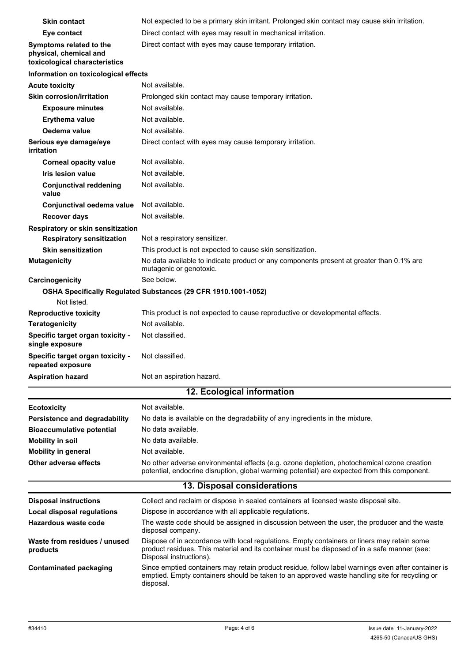| <b>Skin contact</b>                                                                | Not expected to be a primary skin irritant. Prolonged skin contact may cause skin irritation.                                                                                                                          |
|------------------------------------------------------------------------------------|------------------------------------------------------------------------------------------------------------------------------------------------------------------------------------------------------------------------|
| Eye contact                                                                        | Direct contact with eyes may result in mechanical irritation.                                                                                                                                                          |
| Symptoms related to the<br>physical, chemical and<br>toxicological characteristics | Direct contact with eyes may cause temporary irritation.                                                                                                                                                               |
| Information on toxicological effects                                               |                                                                                                                                                                                                                        |
| <b>Acute toxicity</b>                                                              | Not available.                                                                                                                                                                                                         |
| <b>Skin corrosion/irritation</b>                                                   | Prolonged skin contact may cause temporary irritation.                                                                                                                                                                 |
| <b>Exposure minutes</b>                                                            | Not available.                                                                                                                                                                                                         |
| <b>Erythema value</b>                                                              | Not available.                                                                                                                                                                                                         |
| Oedema value                                                                       | Not available.                                                                                                                                                                                                         |
| Serious eye damage/eye<br>irritation                                               | Direct contact with eyes may cause temporary irritation.                                                                                                                                                               |
| <b>Corneal opacity value</b>                                                       | Not available.                                                                                                                                                                                                         |
| <b>Iris lesion value</b>                                                           | Not available.                                                                                                                                                                                                         |
| <b>Conjunctival reddening</b><br>value                                             | Not available.                                                                                                                                                                                                         |
| Conjunctival oedema value                                                          | Not available.                                                                                                                                                                                                         |
| <b>Recover days</b>                                                                | Not available.                                                                                                                                                                                                         |
| Respiratory or skin sensitization                                                  |                                                                                                                                                                                                                        |
| <b>Respiratory sensitization</b>                                                   | Not a respiratory sensitizer.                                                                                                                                                                                          |
| <b>Skin sensitization</b>                                                          | This product is not expected to cause skin sensitization.                                                                                                                                                              |
| <b>Mutagenicity</b>                                                                | No data available to indicate product or any components present at greater than 0.1% are<br>mutagenic or genotoxic.                                                                                                    |
| Carcinogenicity                                                                    | See below.                                                                                                                                                                                                             |
| Not listed.                                                                        | OSHA Specifically Regulated Substances (29 CFR 1910.1001-1052)                                                                                                                                                         |
| <b>Reproductive toxicity</b>                                                       | This product is not expected to cause reproductive or developmental effects.                                                                                                                                           |
| <b>Teratogenicity</b>                                                              | Not available.                                                                                                                                                                                                         |
| Specific target organ toxicity -<br>single exposure                                | Not classified.                                                                                                                                                                                                        |
| Specific target organ toxicity -<br>repeated exposure                              | Not classified.                                                                                                                                                                                                        |
| <b>Aspiration hazard</b>                                                           | Not an aspiration hazard.                                                                                                                                                                                              |
|                                                                                    | 12. Ecological information                                                                                                                                                                                             |
| <b>Ecotoxicity</b>                                                                 | Not available.                                                                                                                                                                                                         |
| Persistence and degradability                                                      | No data is available on the degradability of any ingredients in the mixture.                                                                                                                                           |
| <b>Bioaccumulative potential</b>                                                   | No data available.                                                                                                                                                                                                     |
| <b>Mobility in soil</b>                                                            | No data available.                                                                                                                                                                                                     |
| <b>Mobility in general</b>                                                         | Not available.                                                                                                                                                                                                         |
| <b>Other adverse effects</b>                                                       | No other adverse environmental effects (e.g. ozone depletion, photochemical ozone creation<br>potential, endocrine disruption, global warming potential) are expected from this component.                             |
|                                                                                    | 13. Disposal considerations                                                                                                                                                                                            |
| <b>Disposal instructions</b>                                                       | Collect and reclaim or dispose in sealed containers at licensed waste disposal site.                                                                                                                                   |
| <b>Local disposal regulations</b>                                                  | Dispose in accordance with all applicable regulations.                                                                                                                                                                 |
| Hazardous waste code                                                               | The waste code should be assigned in discussion between the user, the producer and the waste<br>disposal company.                                                                                                      |
| Waste from residues / unused<br>products                                           | Dispose of in accordance with local regulations. Empty containers or liners may retain some<br>product residues. This material and its container must be disposed of in a safe manner (see:<br>Disposal instructions). |
| <b>Contaminated packaging</b>                                                      | Since emptied containers may retain product residue, follow label warnings even after container is<br>emptied. Empty containers should be taken to an approved waste handling site for recycling or<br>disposal.       |
|                                                                                    |                                                                                                                                                                                                                        |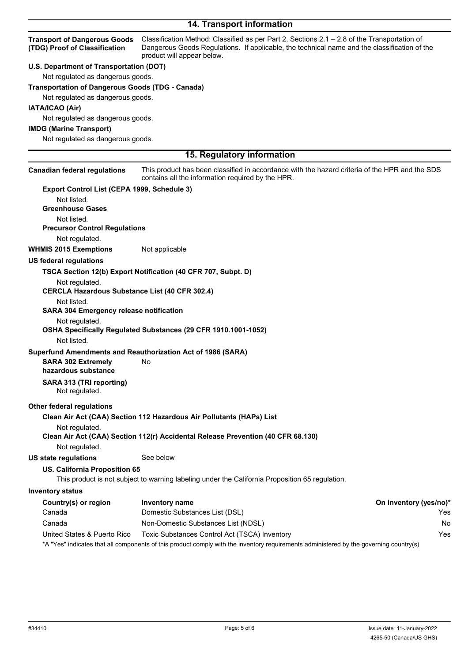## **14. Transport information**

| <b>Transport of Dangerous Goods</b><br>(TDG) Proof of Classification | Classification Method: Classified as per Part 2, Sections 2.1 - 2.8 of the Transportation of<br>Dangerous Goods Regulations. If applicable, the technical name and the classification of the<br>product will appear below. |                        |
|----------------------------------------------------------------------|----------------------------------------------------------------------------------------------------------------------------------------------------------------------------------------------------------------------------|------------------------|
| U.S. Department of Transportation (DOT)                              |                                                                                                                                                                                                                            |                        |
| Not regulated as dangerous goods.                                    |                                                                                                                                                                                                                            |                        |
| <b>Transportation of Dangerous Goods (TDG - Canada)</b>              |                                                                                                                                                                                                                            |                        |
| Not regulated as dangerous goods.                                    |                                                                                                                                                                                                                            |                        |
| IATA/ICAO (Air)                                                      |                                                                                                                                                                                                                            |                        |
| Not regulated as dangerous goods.                                    |                                                                                                                                                                                                                            |                        |
| <b>IMDG (Marine Transport)</b>                                       |                                                                                                                                                                                                                            |                        |
| Not regulated as dangerous goods.                                    |                                                                                                                                                                                                                            |                        |
|                                                                      |                                                                                                                                                                                                                            |                        |
|                                                                      | 15. Regulatory information                                                                                                                                                                                                 |                        |
| <b>Canadian federal regulations</b>                                  | This product has been classified in accordance with the hazard criteria of the HPR and the SDS<br>contains all the information required by the HPR.                                                                        |                        |
| Export Control List (CEPA 1999, Schedule 3)                          |                                                                                                                                                                                                                            |                        |
| Not listed.                                                          |                                                                                                                                                                                                                            |                        |
| <b>Greenhouse Gases</b>                                              |                                                                                                                                                                                                                            |                        |
| Not listed.                                                          |                                                                                                                                                                                                                            |                        |
| <b>Precursor Control Regulations</b>                                 |                                                                                                                                                                                                                            |                        |
| Not regulated.                                                       |                                                                                                                                                                                                                            |                        |
| <b>WHMIS 2015 Exemptions</b>                                         | Not applicable                                                                                                                                                                                                             |                        |
| <b>US federal regulations</b>                                        |                                                                                                                                                                                                                            |                        |
|                                                                      | TSCA Section 12(b) Export Notification (40 CFR 707, Subpt. D)                                                                                                                                                              |                        |
| Not regulated.                                                       |                                                                                                                                                                                                                            |                        |
| <b>CERCLA Hazardous Substance List (40 CFR 302.4)</b>                |                                                                                                                                                                                                                            |                        |
| Not listed.                                                          |                                                                                                                                                                                                                            |                        |
| <b>SARA 304 Emergency release notification</b>                       |                                                                                                                                                                                                                            |                        |
| Not regulated.                                                       |                                                                                                                                                                                                                            |                        |
|                                                                      | OSHA Specifically Regulated Substances (29 CFR 1910.1001-1052)                                                                                                                                                             |                        |
| Not listed.                                                          |                                                                                                                                                                                                                            |                        |
|                                                                      | Superfund Amendments and Reauthorization Act of 1986 (SARA)                                                                                                                                                                |                        |
| <b>SARA 302 Extremely</b>                                            | No.                                                                                                                                                                                                                        |                        |
| hazardous substance                                                  |                                                                                                                                                                                                                            |                        |
| SARA 313 (TRI reporting)<br>Not regulated.                           |                                                                                                                                                                                                                            |                        |
| <b>Other federal regulations</b>                                     |                                                                                                                                                                                                                            |                        |
|                                                                      | Clean Air Act (CAA) Section 112 Hazardous Air Pollutants (HAPs) List                                                                                                                                                       |                        |
| Not regulated.                                                       |                                                                                                                                                                                                                            |                        |
|                                                                      | Clean Air Act (CAA) Section 112(r) Accidental Release Prevention (40 CFR 68.130)                                                                                                                                           |                        |
| Not regulated.                                                       |                                                                                                                                                                                                                            |                        |
| <b>US state regulations</b>                                          | See below                                                                                                                                                                                                                  |                        |
| US. California Proposition 65                                        |                                                                                                                                                                                                                            |                        |
|                                                                      | This product is not subject to warning labeling under the California Proposition 65 regulation.                                                                                                                            |                        |
| <b>Inventory status</b>                                              |                                                                                                                                                                                                                            |                        |
| Country(s) or region                                                 | <b>Inventory name</b>                                                                                                                                                                                                      | On inventory (yes/no)* |
| Canada                                                               | Domestic Substances List (DSL)                                                                                                                                                                                             | Yes                    |
| Canada                                                               | Non-Domestic Substances List (NDSL)                                                                                                                                                                                        | No                     |
| United States & Puerto Rico                                          | Toxic Substances Control Act (TSCA) Inventory                                                                                                                                                                              | Yes                    |
|                                                                      |                                                                                                                                                                                                                            |                        |

\*A "Yes" indicates that all components of this product comply with the inventory requirements administered by the governing country(s)